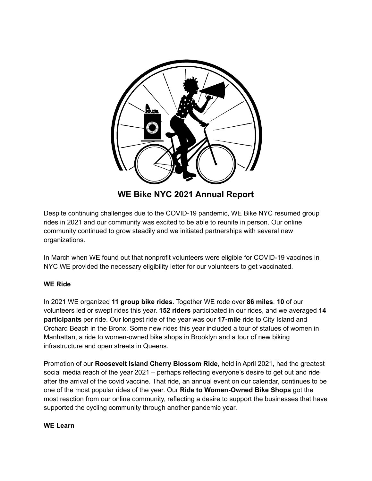

**WE Bike NYC 2021 Annual Report**

Despite continuing challenges due to the COVID-19 pandemic, WE Bike NYC resumed group rides in 2021 and our community was excited to be able to reunite in person. Our online community continued to grow steadily and we initiated partnerships with several new organizations.

In March when WE found out that nonprofit volunteers were eligible for COVID-19 vaccines in NYC WE provided the necessary eligibility letter for our volunteers to get vaccinated.

# **WE Ride**

In 2021 WE organized **11 group bike rides**. Together WE rode over **86 miles**. **10** of our volunteers led or swept rides this year. **152 riders** participated in our rides, and we averaged **14 participants** per ride. Our longest ride of the year was our **17-mile** ride to City Island and Orchard Beach in the Bronx. Some new rides this year included a tour of statues of women in Manhattan, a ride to women-owned bike shops in Brooklyn and a tour of new biking infrastructure and open streets in Queens.

Promotion of our **Roosevelt Island Cherry Blossom Ride**, held in April 2021, had the greatest social media reach of the year 2021 – perhaps reflecting everyone's desire to get out and ride after the arrival of the covid vaccine. That ride, an annual event on our calendar, continues to be one of the most popular rides of the year. Our **Ride to Women-Owned Bike Shops** got the most reaction from our online community, reflecting a desire to support the businesses that have supported the cycling community through another pandemic year.

#### **WE Learn**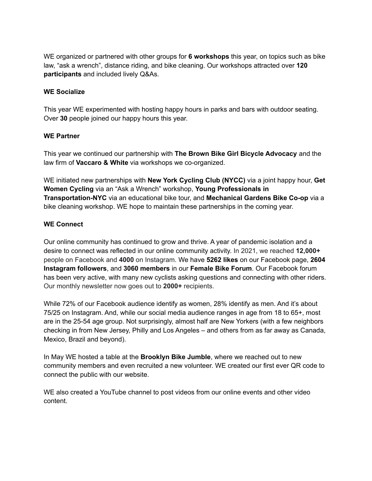WE organized or partnered with other groups for **6 workshops** this year, on topics such as bike law, "ask a wrench", distance riding, and bike cleaning. Our workshops attracted over **120 participants** and included lively Q&As.

### **WE Socialize**

This year WE experimented with hosting happy hours in parks and bars with outdoor seating. Over **30** people joined our happy hours this year.

# **WE Partner**

This year we continued our partnership with **The Brown Bike Girl Bicycle Advocacy** and the law firm of **Vaccaro & White** via workshops we co-organized.

WE initiated new partnerships with **New York Cycling Club (NYCC)** via a joint happy hour, **Get Women Cycling** via an "Ask a Wrench" workshop, **Young Professionals in Transportation-NYC** via an educational bike tour, and **Mechanical Gardens Bike Co-op** via a bike cleaning workshop. WE hope to maintain these partnerships in the coming year.

# **WE Connect**

Our online community has continued to grow and thrive. A year of pandemic isolation and a desire to connect was reflected in our online community activity. In 2021, we reached **12,000+** people on Facebook and **4000** on Instagram. We have **5262 likes** on our Facebook page, **2604 Instagram followers**, and **3060 members** in our **Female Bike Forum**. Our Facebook forum has been very active, with many new cyclists asking questions and connecting with other riders. Our monthly newsletter now goes out to **2000+** recipients.

While 72% of our Facebook audience identify as women, 28% identify as men. And it's about 75/25 on Instagram. And, while our social media audience ranges in age from 18 to 65+, most are in the 25-54 age group. Not surprisingly, almost half are New Yorkers (with a few neighbors checking in from New Jersey, Philly and Los Angeles – and others from as far away as Canada, Mexico, Brazil and beyond).

In May WE hosted a table at the **Brooklyn Bike Jumble**, where we reached out to new community members and even recruited a new volunteer. WE created our first ever QR code to connect the public with our website.

WE also created a YouTube channel to post videos from our online events and other video content.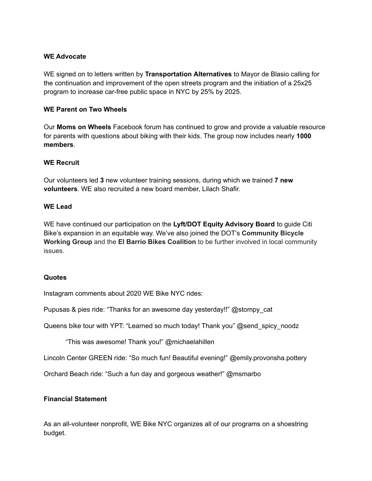### **WE Advocate**

WE signed on to letters written by **Transportation Alternatives** to Mayor de Blasio calling for the continuation and improvement of the open streets program and the initiation of a 25x25 program to increase car-free public space in NYC by 25% by 2025.

### **WE Parent on Two Wheels**

Our **Moms on Wheels** Facebook forum has continued to grow and provide a valuable resource for parents with questions about biking with their kids. The group now includes nearly **1000 members**.

# **WE Recruit**

Our volunteers led **3** new volunteer training sessions, during which we trained **7 new volunteers**. WE also recruited a new board member, Lilach Shafir.

# **WE Lead**

WE have continued our participation on the **Lyft/DOT Equity Advisory Board** to guide Citi Bike's expansion in an equitable way. We've also joined the DOT's **Community Bicycle Working Group** and the **El Barrio Bikes Coalition** to be further involved in local community issues.

#### **Quotes**

Instagram comments about 2020 WE Bike NYC rides:

Pupusas & pies ride: "Thanks for an awesome day yesterday!!" @stompy\_cat

Queens bike tour with YPT: "Learned so much today! Thank you" @send spicy noodz

"This was awesome! Thank you!" @michaelahillen

Lincoln Center GREEN ride: "So much fun! Beautiful evening!" @emily.provonsha.pottery

Orchard Beach ride: "Such a fun day and gorgeous weather!" @msmarbo

# **Financial Statement**

As an all-volunteer nonprofit, WE Bike NYC organizes all of our programs on a shoestring budget.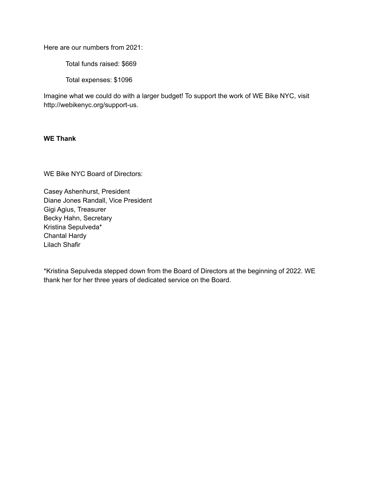Here are our numbers from 2021:

Total funds raised: \$669

Total expenses: \$1096

Imagine what we could do with a larger budget! To support the work of WE Bike NYC, visit http://webikenyc.org/support-us.

#### **WE Thank**

WE Bike NYC Board of Directors:

Casey Ashenhurst, President Diane Jones Randall, Vice President Gigi Agius, Treasurer Becky Hahn, Secretary Kristina Sepulveda\* Chantal Hardy Lilach Shafir

\*Kristina Sepulveda stepped down from the Board of Directors at the beginning of 2022. WE thank her for her three years of dedicated service on the Board.